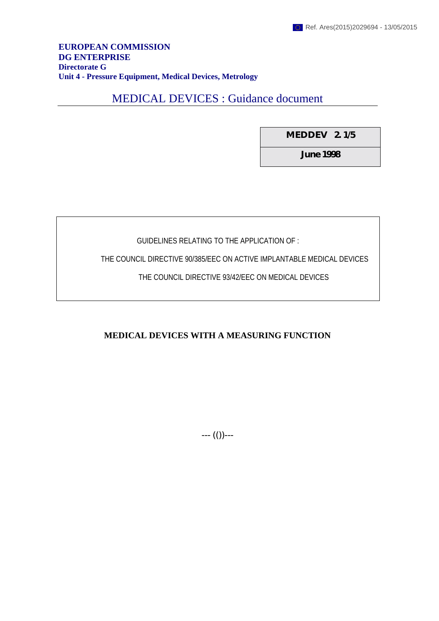## **EUROPEAN COMMISSION DG ENTERPRISE Directorate G Unit 4 - Pressure Equipment, Medical Devices, Metrology**

# MEDICAL DEVICES : Guidance document

**MEDDEV 2. 1/5**

**June 1998**

# GUIDELINES RELATING TO THE APPLICATION OF :

THE COUNCIL DIRECTIVE 90/385/EEC ON ACTIVE IMPLANTABLE MEDICAL DEVICES

THE COUNCIL DIRECTIVE 93/42/EEC ON MEDICAL DEVICES

**MEDICAL DEVICES WITH A MEASURING FUNCTION**

--- (())---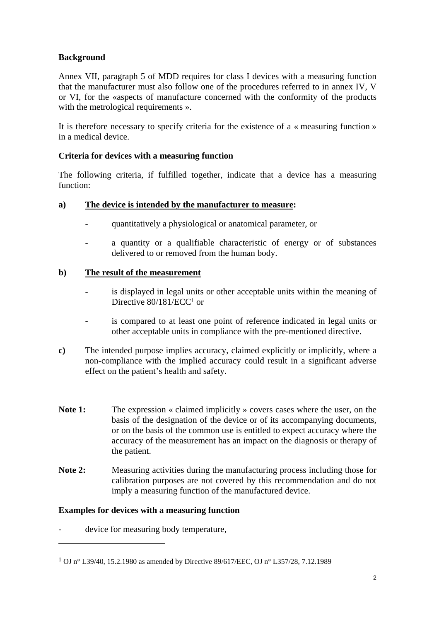## **Background**

Annex VII, paragraph 5 of MDD requires for class I devices with a measuring function that the manufacturer must also follow one of the procedures referred to in annex IV, V or VI, for the «aspects of manufacture concerned with the conformity of the products with the metrological requirements ».

It is therefore necessary to specify criteria for the existence of a « measuring function » in a medical device.

## **Criteria for devices with a measuring function**

The following criteria, if fulfilled together, indicate that a device has a measuring function:

#### **a) The device is intended by the manufacturer to measure:**

- quantitatively a physiological or anatomical parameter, or
- a quantity or a qualifiable characteristic of energy or of substances delivered to or removed from the human body.

## **b) The result of the measurement**

- is displayed in legal units or other acceptable units within the meaning of Directive 80/181/ECC<sup>1</sup> or
- is compared to at least one point of reference indicated in legal units or other acceptable units in compliance with the pre-mentioned directive.
- **c)** The intended purpose implies accuracy, claimed explicitly or implicitly, where a non-compliance with the implied accuracy could result in a significant adverse effect on the patient's health and safety.
- Note 1: The expression « claimed implicitly » covers cases where the user, on the basis of the designation of the device or of its accompanying documents, or on the basis of the common use is entitled to expect accuracy where the accuracy of the measurement has an impact on the diagnosis or therapy of the patient.
- Note 2: Measuring activities during the manufacturing process including those for calibration purposes are not covered by this recommendation and do not imply a measuring function of the manufactured device.

#### **Examples for devices with a measuring function**

device for measuring body temperature.

 $\overline{a}$ 

<sup>1</sup> OJ n° L39/40, 15.2.1980 as amended by Directive 89/617/EEC, OJ n° L357/28, 7.12.1989